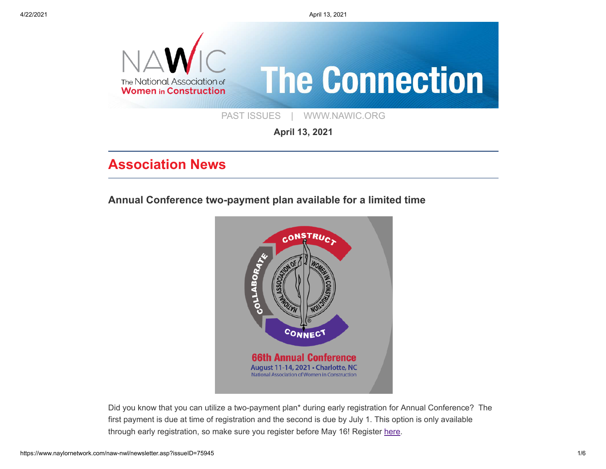4/22/2021 April 13, 2021



**April 13, 2021**

## **Association News**

**[Annual Conference two-payment plan available for a limited time](https://www.naylornetwork.com/naw-nwl/articles/index.asp?aid=670941&issueID=75945)**



Did you know that you can utilize a two-payment plan\* during early registration for Annual Conference? The first payment is due at time of registration and the second is due by July 1. This option is only available through early registration, so make sure you register before May 16! Register [here](https://www.nawic.org/assnfe/ev.asp?ID=21).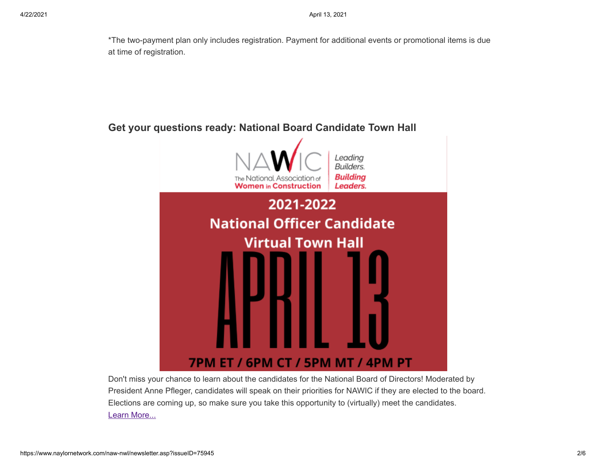\*The two-payment plan only includes registration. Payment for additional events or promotional items is due at time of registration.

# **[Get your questions ready: National Board Candidate Town Hall](https://www.nawic.org/nawic/Webinars.asp)** Leadina Builders. **Building** The National Association of **Women in Construction** Leaders. 2021-2022 **National Officer Candidate Virtual Town Hall 7PM ET / 6PM CT / 5PM MT / 4PM PT**

Don't miss your chance to learn about the candidates for the National Board of Directors! Moderated by President Anne Pfleger, candidates will speak on their priorities for NAWIC if they are elected to the board. Elections are coming up, so make sure you take this opportunity to (virtually) meet the candidates. [Learn More...](https://www.nawic.org/nawic/Webinars.asp)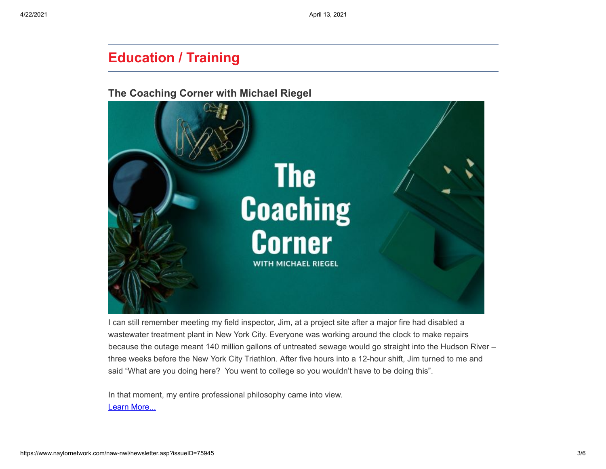### **Education / Training**

#### **[The Coaching Corner with Michael Riegel](https://www.naylornetwork.com/naw-nwl/articles/index.asp?aid=670952&issueID=75945)**



I can still remember meeting my field inspector, Jim, at a project site after a major fire had disabled a wastewater treatment plant in New York City. Everyone was working around the clock to make repairs because the outage meant 140 million gallons of untreated sewage would go straight into the Hudson River – three weeks before the New York City Triathlon. After five hours into a 12-hour shift, Jim turned to me and said "What are you doing here? You went to college so you wouldn't have to be doing this".

In that moment, my entire professional philosophy came into view. [Learn More...](https://www.naylornetwork.com/naw-nwl/articles/index.asp?aid=670952&issueID=75945)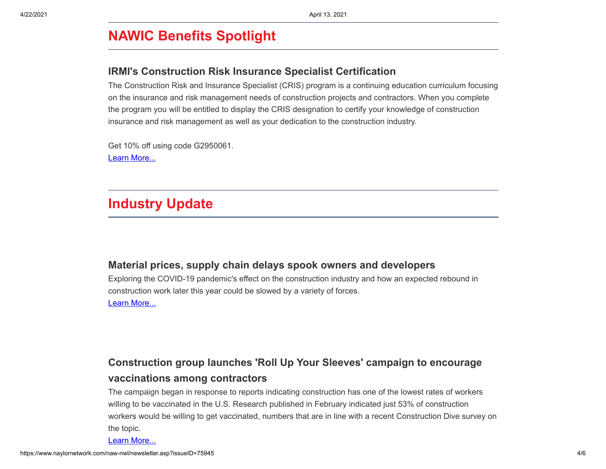# **NAWIC Benefits Spotlight**

### **[IRMI's Construction Risk Insurance Specialist Certification](https://www.webce.com/cris)**

The Construction Risk and Insurance Specialist (CRIS) program is a continuing education curriculum focusing on the insurance and risk management needs of construction projects and contractors. When you complete the program you will be entitled to display the CRIS designation to certify your knowledge of construction insurance and risk management as well as your dedication to the construction industry.

Get 10% off using code G2950061. [Learn More...](https://www.webce.com/cris)

# **Industry Update**

### **[Material prices, supply chain delays spook owners and developers](https://www.constructiondive.com/news/soaring-material-prices-supply-chain-delays-spook-owners-and-developers/597935/)**

Exploring the COVID-19 pandemic's effect on the construction industry and how an expected rebound in construction work later this year could be slowed by a variety of forces. [Learn More...](https://www.constructiondive.com/news/soaring-material-prices-supply-chain-delays-spook-owners-and-developers/597935/)

### **[Construction group launches 'Roll Up Your Sleeves' campaign to encourage](https://www.constructiondive.com/news/union-launches-roll-up-your-sleeves-campaign-to-encourage-vaccinations-am/597997/) vaccinations among contractors**

The campaign began in response to reports indicating construction has one of the lowest rates of workers willing to be vaccinated in the U.S. Research published in February indicated just 53% of construction workers would be willing to get vaccinated, numbers that are in line with a recent Construction Dive survey on the topic.

[Learn More...](https://www.constructiondive.com/news/union-launches-roll-up-your-sleeves-campaign-to-encourage-vaccinations-am/597997/)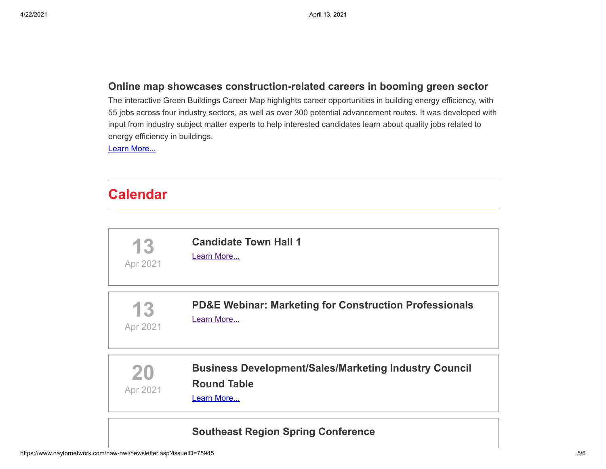#### **[Online map showcases construction-related careers in booming green sector](https://www.constructiondive.com/news/online-map-showcases-construction-related-careers-in-booming-green-sector/597895/)**

The interactive Green Buildings Career Map highlights career opportunities in building energy efficiency, with 55 jobs across four industry sectors, as well as over 300 potential advancement routes. It was developed with input from industry subject matter experts to help interested candidates learn about quality jobs related to energy efficiency in buildings.

[Learn More...](https://www.constructiondive.com/news/online-map-showcases-construction-related-careers-in-booming-green-sector/597895/)

# **Calendar**